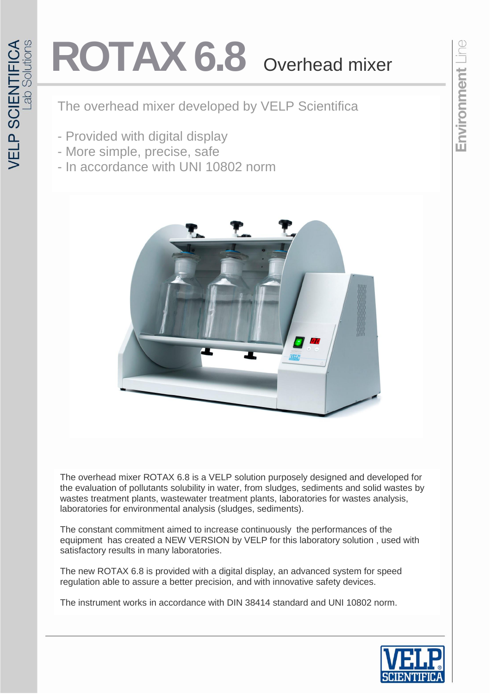## ROTAX 6.8 Overhead mixer

The overhead mixer developed by VELP Scientifica

- Provided with digital display
- More simple, precise, safe
- In accordance with UNI 10802 norm



The overhead mixer ROTAX 6.8 is a VELP solution purposely designed and developed for the evaluation of pollutants solubility in water, from sludges, sediments and solid wastes by wastes treatment plants, wastewater treatment plants, laboratories for wastes analysis, laboratories for environmental analysis (sludges, sediments).

The constant commitment aimed to increase continuously the performances of the equipment has created a NEW VERSION by VELP for this laboratory solution , used with satisfactory results in many laboratories.

The new ROTAX 6.8 is provided with a digital display, an advanced system for speed regulation able to assure a better precision, and with innovative safety devices.

The instrument works in accordance with DIN 38414 standard and UNI 10802 norm.